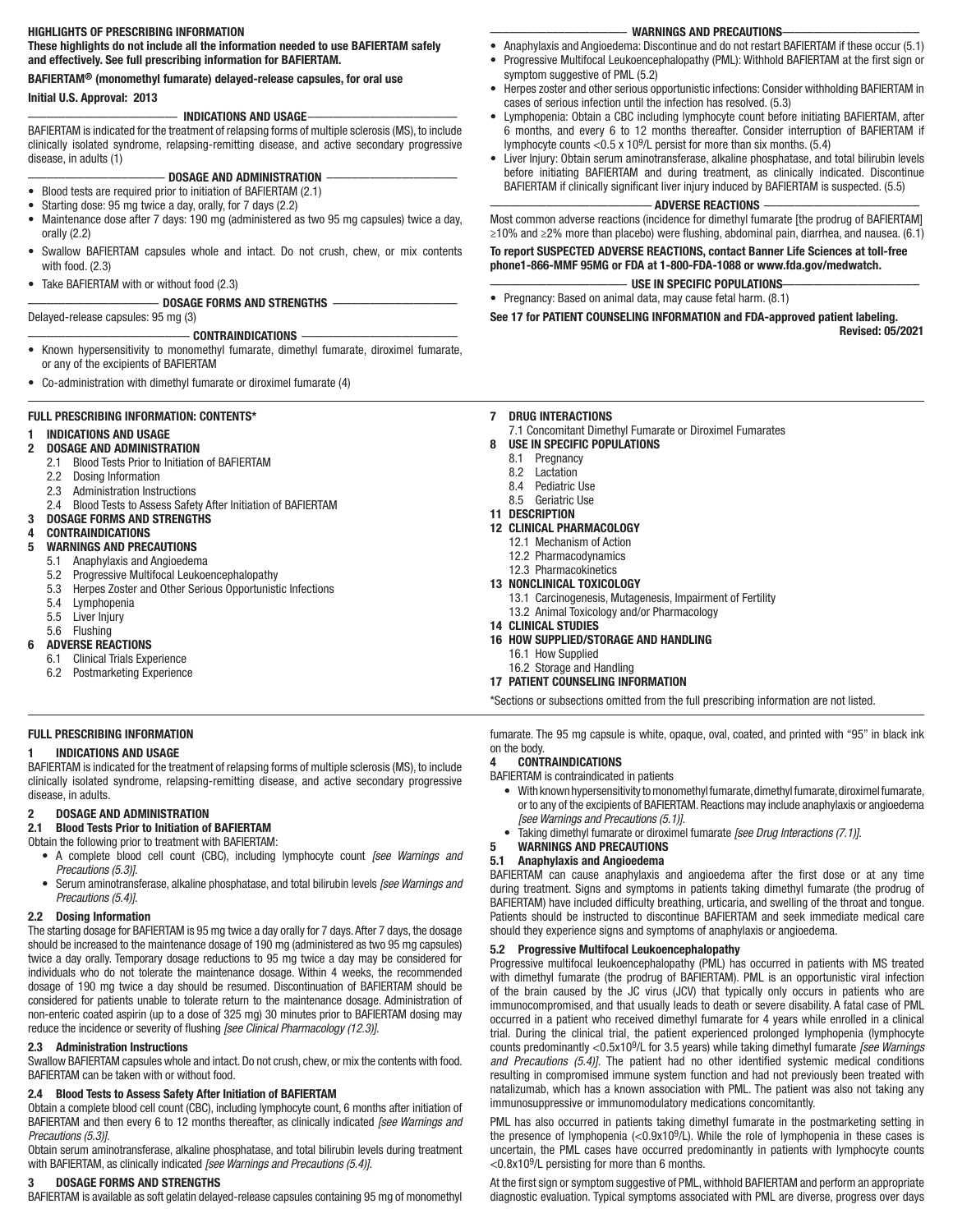## HIGHLIGHTS OF PRESCRIBING INFORMATION

These highlights do not include all the information needed to use BAFIERTAM safely and effectively. See full prescribing information for BAFIERTAM.

## BAFIERTAM® (monomethyl fumarate) delayed-release capsules, for oral use

# Initial U.S. Approval: 2013

# –––––––––––––––––––––––– INDICATIONS AND USAGE––––––––––––––––––––––––

BAFIERTAM is indicated for the treatment of relapsing forms of multiple sclerosis (MS), to include clinically isolated syndrome, relapsing-remitting disease, and active secondary progressive disease, in adults (1)

# DOSAGE AND ADMINISTRATION

- Blood tests are required prior to initiation of BAFIERTAM (2.1)
- Starting dose: 95 mg twice a day, orally, for 7 days (2.2)
- Maintenance dose after 7 days: 190 mg (administered as two 95 mg capsules) twice a day, orally (2.2)
- Swallow BAFIERTAM capsules whole and intact. Do not crush, chew, or mix contents with food. (2.3)
- Take BAFIERTAM with or without food (2.3)

# ––––––––––––––––––––– DOSAGE FORMS AND STRENGTHS ––––––––––––––––––––

Delayed-release capsules: 95 mg (3)

- CONTRAINDICATIONS • Known hypersensitivity to monomethyl fumarate, dimethyl fumarate, diroximel fumarate, or any of the excipients of BAFIERTAM
- Co-administration with dimethyl fumarate or diroximel fumarate (4)

# FULL PRESCRIBING INFORMATION: CONTENTS\*

# 1 INDICATIONS AND USAGE

- 2 DOSAGE AND ADMINISTRATION
	- 2.1 Blood Tests Prior to Initiation of BAFIERTAM
	- 2.2 Dosing Information
	- 2.3 Administration Instructions
	- 2.4 Blood Tests to Assess Safety After Initiation of BAFIERTAM
- 3 DOSAGE FORMS AND STRENGTHS 4 CONTRAINDICATIONS

# 5 WARNINGS AND PRECAUTIONS

- 5.1 Anaphylaxis and Angioedema
- 
- 5.2 Progressive Multifocal Leukoencephalopathy 5.3 Herpes Zoster and Other Serious Opportunistic Infections
- 5.4 Lymphopenia
- 5.5 Liver Injury
- 5.6 Flushing

## 6 ADVERSE REACTIONS

- 6.1 Clinical Trials Experience
- 6.2 Postmarketing Experience

# FULL PRESCRIBING INFORMATION

## 1 INDICATIONS AND USAGE

BAFIERTAM is indicated for the treatment of relapsing forms of multiple sclerosis (MS), to include clinically isolated syndrome, relapsing-remitting disease, and active secondary progressive disease, in adults.

# 2 DOSAGE AND ADMINISTRATION

# 2.1 Blood Tests Prior to Initiation of BAFIERTAM

- Obtain the following prior to treatment with BAFIERTAM:
- A complete blood cell count (CBC), including lymphocyte count *[see Warnings and Precautions (5.3)]*.
- Serum aminotransferase, alkaline phosphatase, and total bilirubin levels *[see Warnings and Precautions (5.4)]*.

## 2.2 Dosing Information

The starting dosage for BAFIERTAM is 95 mg twice a day orally for 7 days. After 7 days, the dosage should be increased to the maintenance dosage of 190 mg (administered as two 95 mg capsules) twice a day orally. Temporary dosage reductions to 95 mg twice a day may be considered for individuals who do not tolerate the maintenance dosage. Within 4 weeks, the recommended dosage of 190 mg twice a day should be resumed. Discontinuation of BAFIERTAM should be considered for patients unable to tolerate return to the maintenance dosage. Administration of non-enteric coated aspirin (up to a dose of 325 mg) 30 minutes prior to BAFIERTAM dosing may reduce the incidence or severity of flushing *[see Clinical Pharmacology (12.3)]*.

## 2.3 Administration Instructions

Swallow BAFIERTAM capsules whole and intact. Do not crush, chew, or mix the contents with food. BAFIERTAM can be taken with or without food.

## 2.4 Blood Tests to Assess Safety After Initiation of BAFIERTAM

Obtain a complete blood cell count (CBC), including lymphocyte count, 6 months after initiation of BAFIERTAM and then every 6 to 12 months thereafter, as clinically indicated *[see Warnings and Precautions (5.3)]*.

Obtain serum aminotransferase, alkaline phosphatase, and total bilirubin levels during treatment with BAFIERTAM, as clinically indicated *[see Warnings and Precautions (5.4)]*.

## DOSAGE FORMS AND STRENGTHS

BAFIERTAM is available as soft gelatin delayed-release capsules containing 95 mg of monomethyl

## –––––––––––––––––––––– WARNINGS AND PRECAUTIONS––––––––––––––––––––––

- Anaphylaxis and Angioedema: Discontinue and do not restart BAFIERTAM if these occur (5.1)
- Progressive Multifocal Leukoencephalopathy (PML): Withhold BAFIERTAM at the first sign or symptom suggestive of PML (5.2)
- Herpes zoster and other serious opportunistic infections: Consider withholding BAFIERTAM in cases of serious infection until the infection has resolved. (5.3)
- Lymphopenia: Obtain a CBC including lymphocyte count before initiating BAFIERTAM, after 6 months, and every 6 to 12 months thereafter. Consider interruption of BAFIERTAM if lymphocyte counts <0.5 x 109/L persist for more than six months. (5.4)
- Liver Injury: Obtain serum aminotransferase, alkaline phosphatase, and total bilirubin levels before initiating BAFIERTAM and during treatment, as clinically indicated. Discontinue BAFIERTAM if clinically significant liver injury induced by BAFIERTAM is suspected. (5.5)

## –––––––––––––––––––––––––– ADVERSE REACTIONS –––––––––––––––––––––––––

Most common adverse reactions (incidence for dimethyl fumarate [the prodrug of BAFIERTAM] ≥10% and ≥2% more than placebo) were flushing, abdominal pain, diarrhea, and nausea. (6.1)

To report SUSPECTED ADVERSE REACTIONS, contact Banner Life Sciences at toll-free phone1-866-MMF 95MG or FDA at 1-800-FDA-1088 or www.fda.gov/medwatch.

–––––––––––––––––––––– USE IN SPECIFIC POPULATIONS––––––––––––––––––––––

• Pregnancy: Based on animal data, may cause fetal harm. (8.1)

See 17 for PATIENT COUNSELING INFORMATION and FDA-approved patient labeling. Revised: 05/2021

#### 7 DRUG INTERACTIONS

7.1 Concomitant Dimethyl Fumarate or Diroximel Fumarates

## 8 USE IN SPECIFIC POPULATIONS

- 8.1 Pregnancy
- 8.2 Lactation
- 8.4 Pediatric Use
- 8.5 Geriatric Use
- 11 DESCRIPTION

## 12 CLINICAL PHARMACOLOGY

- 12.1 Mechanism of Action
- 12.2 Pharmacodynamics
- 12.3 Pharmacokinetics

## 13 NONCLINICAL TOXICOLOGY

- 13.1 Carcinogenesis, Mutagenesis, Impairment of Fertility
- 13.2 Animal Toxicology and/or Pharmacology
- 14 CLINICAL STUDIES
- 16 HOW SUPPLIED/STORAGE AND HANDLING
	- 16.1 How Supplied
- 16.2 Storage and Handling

# 17 PATIENT COUNSELING INFORMATION

\*Sections or subsections omitted from the full prescribing information are not listed.

fumarate. The 95 mg capsule is white, opaque, oval, coated, and printed with "95" in black ink on the body.

## 4 CONTRAINDICATIONS

BAFIERTAM is contraindicated in patients

- With known hypersensitivity to monomethyl fumarate, dimethyl fumarate, diroximel fumarate, or to any of the excipients of BAFIERTAM. Reactions may include anaphylaxis or angioedema *[see Warnings and Precautions (5.1)]*.
- Taking dimethyl fumarate or diroximel fumarate *[see Drug Interactions (7.1)]*.

## 5 WARNINGS AND PRECAUTIONS

## 5.1 Anaphylaxis and Angioedema

BAFIERTAM can cause anaphylaxis and angioedema after the first dose or at any time during treatment. Signs and symptoms in patients taking dimethyl fumarate (the prodrug of BAFIERTAM) have included difficulty breathing, urticaria, and swelling of the throat and tongue. Patients should be instructed to discontinue BAFIERTAM and seek immediate medical care should they experience signs and symptoms of anaphylaxis or angioedema.

## 5.2 Progressive Multifocal Leukoencephalopathy

Progressive multifocal leukoencephalopathy (PML) has occurred in patients with MS treated with dimethyl fumarate (the prodrug of BAFIERTAM). PML is an opportunistic viral infection of the brain caused by the JC virus (JCV) that typically only occurs in patients who are immunocompromised, and that usually leads to death or severe disability. A fatal case of PML occurred in a patient who received dimethyl fumarate for 4 years while enrolled in a clinical trial. During the clinical trial, the patient experienced prolonged lymphopenia (lymphocyte counts predominantly <0.5x109/L for 3.5 years) while taking dimethyl fumarate *[see Warnings and Precautions (5.4)]*. The patient had no other identified systemic medical conditions resulting in compromised immune system function and had not previously been treated with natalizumab, which has a known association with PML. The patient was also not taking any immunosuppressive or immunomodulatory medications concomitantly.

PML has also occurred in patients taking dimethyl fumarate in the postmarketing setting in the presence of lymphopenia (<0.9x109/L). While the role of lymphopenia in these cases is uncertain, the PML cases have occurred predominantly in patients with lymphocyte counts <0.8x109/L persisting for more than 6 months.

At the first sign or symptom suggestive of PML, withhold BAFIERTAM and perform an appropriate diagnostic evaluation. Typical symptoms associated with PML are diverse, progress over days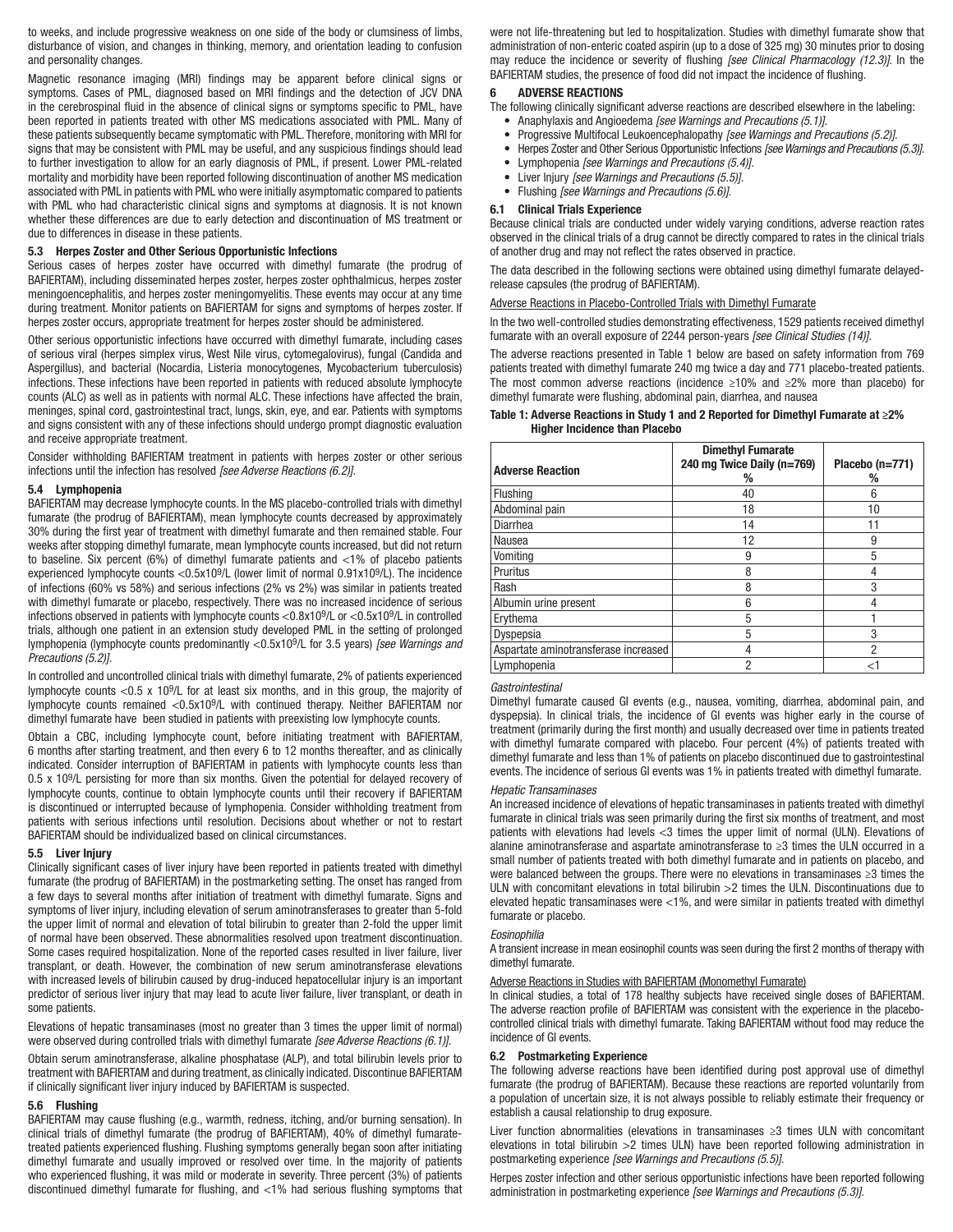to weeks, and include progressive weakness on one side of the body or clumsiness of limbs, disturbance of vision, and changes in thinking, memory, and orientation leading to confusion and personality changes.

Magnetic resonance imaging (MRI) findings may be apparent before clinical signs or symptoms. Cases of PML, diagnosed based on MRI findings and the detection of JCV DNA in the cerebrospinal fluid in the absence of clinical signs or symptoms specific to PML, have been reported in patients treated with other MS medications associated with PML. Many of these patients subsequently became symptomatic with PML. Therefore, monitoring with MRI for signs that may be consistent with PML may be useful, and any suspicious findings should lead to further investigation to allow for an early diagnosis of PML, if present. Lower PML-related mortality and morbidity have been reported following discontinuation of another MS medication associated with PML in patients with PML who were initially asymptomatic compared to patients with PML who had characteristic clinical signs and symptoms at diagnosis. It is not known whether these differences are due to early detection and discontinuation of MS treatment or due to differences in disease in these patients.

#### 5.3 Herpes Zoster and Other Serious Opportunistic Infections

Serious cases of herpes zoster have occurred with dimethyl fumarate (the prodrug of BAFIERTAM), including disseminated herpes zoster, herpes zoster ophthalmicus, herpes zoster meningoencephalitis, and herpes zoster meningomyelitis. These events may occur at any time during treatment. Monitor patients on BAFIERTAM for signs and symptoms of herpes zoster. If herpes zoster occurs, appropriate treatment for herpes zoster should be administered.

Other serious opportunistic infections have occurred with dimethyl fumarate, including cases of serious viral (herpes simplex virus, West Nile virus, cytomegalovirus), fungal (Candida and Aspergillus), and bacterial (Nocardia, Listeria monocytogenes, Mycobacterium tuberculosis) infections. These infections have been reported in patients with reduced absolute lymphocyte counts (ALC) as well as in patients with normal ALC. These infections have affected the brain, meninges, spinal cord, gastrointestinal tract, lungs, skin, eye, and ear. Patients with symptoms and signs consistent with any of these infections should undergo prompt diagnostic evaluation and receive appropriate treatment.

Consider withholding BAFIERTAM treatment in patients with herpes zoster or other serious infections until the infection has resolved *[see Adverse Reactions (6.2)]*.

#### 5.4 Lymphopenia

BAFIERTAM may decrease lymphocyte counts. In the MS placebo-controlled trials with dimethyl fumarate (the prodrug of BAFIERTAM), mean lymphocyte counts decreased by approximately 30% during the first year of treatment with dimethyl fumarate and then remained stable. Four weeks after stopping dimethyl fumarate, mean lymphocyte counts increased, but did not return to baseline. Six percent (6%) of dimethyl fumarate patients and <1% of placebo patients experienced lymphocyte counts <0.5x109/L (lower limit of normal 0.91x109/L). The incidence of infections (60% vs 58%) and serious infections (2% vs 2%) was similar in patients treated with dimethyl fumarate or placebo, respectively. There was no increased incidence of serious infections observed in patients with lymphocyte counts <0.8x109/L or <0.5x109/L in controlled trials, although one patient in an extension study developed PML in the setting of prolonged lymphopenia (lymphocyte counts predominantly <0.5x109/L for 3.5 years) *[see Warnings and Precautions (5.2)]*.

In controlled and uncontrolled clinical trials with dimethyl fumarate, 2% of patients experienced lymphocyte counts <0.5 x 109/L for at least six months, and in this group, the majority of lymphocyte counts remained <0.5x109/L with continued therapy. Neither BAFIERTAM nor dimethyl fumarate have been studied in patients with preexisting low lymphocyte counts.

Obtain a CBC, including lymphocyte count, before initiating treatment with BAFIERTAM, 6 months after starting treatment, and then every 6 to 12 months thereafter, and as clinically indicated. Consider interruption of BAFIERTAM in patients with lymphocyte counts less than 0.5 x 109/L persisting for more than six months. Given the potential for delayed recovery of lymphocyte counts, continue to obtain lymphocyte counts until their recovery if BAFIERTAM is discontinued or interrupted because of lymphopenia. Consider withholding treatment from patients with serious infections until resolution. Decisions about whether or not to restart BAFIERTAM should be individualized based on clinical circumstances.

#### 5.5 Liver Injury

Clinically significant cases of liver injury have been reported in patients treated with dimethyl fumarate (the prodrug of BAFIERTAM) in the postmarketing setting. The onset has ranged from a few days to several months after initiation of treatment with dimethyl fumarate. Signs and symptoms of liver injury, including elevation of serum aminotransferases to greater than 5-fold the upper limit of normal and elevation of total bilirubin to greater than 2-fold the upper limit of normal have been observed. These abnormalities resolved upon treatment discontinuation. Some cases required hospitalization. None of the reported cases resulted in liver failure, liver transplant, or death. However, the combination of new serum aminotransferase elevations with increased levels of bilirubin caused by drug-induced hepatocellular injury is an important predictor of serious liver injury that may lead to acute liver failure, liver transplant, or death in some patients.

Elevations of hepatic transaminases (most no greater than 3 times the upper limit of normal) were observed during controlled trials with dimethyl fumarate *[see Adverse Reactions (6.1)]*.

Obtain serum aminotransferase, alkaline phosphatase (ALP), and total bilirubin levels prior to treatment with BAFIERTAM and during treatment, as clinically indicated. Discontinue BAFIERTAM if clinically significant liver injury induced by BAFIERTAM is suspected.

## 5.6 Flushing

BAFIERTAM may cause flushing (e.g., warmth, redness, itching, and/or burning sensation). In clinical trials of dimethyl fumarate (the prodrug of BAFIERTAM), 40% of dimethyl fumaratetreated patients experienced flushing. Flushing symptoms generally began soon after initiating dimethyl fumarate and usually improved or resolved over time. In the majority of patients who experienced flushing, it was mild or moderate in severity. Three percent (3%) of patients discontinued dimethyl fumarate for flushing, and <1% had serious flushing symptoms that

were not life-threatening but led to hospitalization. Studies with dimethyl fumarate show that administration of non-enteric coated aspirin (up to a dose of 325 mg) 30 minutes prior to dosing may reduce the incidence or severity of flushing *[see Clinical Pharmacology (12.3)]*. In the BAFIERTAM studies, the presence of food did not impact the incidence of flushing.

## 6 ADVERSE REACTIONS

The following clinically significant adverse reactions are described elsewhere in the labeling:

- Anaphylaxis and Angioedema *[see Warnings and Precautions (5.1)]*.
- Progressive Multifocal Leukoencephalopathy *[see Warnings and Precautions (5.2)]*.
- Herpes Zoster and Other Serious Opportunistic Infections *[see Warnings and Precautions (5.3)]*.
- Lymphopenia *[see Warnings and Precautions (5.4)]*.
- Liver Injury *[see Warnings and Precautions (5.5)]*.
- Flushing *[see Warnings and Precautions (5.6)]*.

## 6.1 Clinical Trials Experience

Because clinical trials are conducted under widely varying conditions, adverse reaction rates observed in the clinical trials of a drug cannot be directly compared to rates in the clinical trials of another drug and may not reflect the rates observed in practice.

The data described in the following sections were obtained using dimethyl fumarate delayedrelease capsules (the prodrug of BAFIERTAM).

#### Adverse Reactions in Placebo-Controlled Trials with Dimethyl Fumarate

In the two well-controlled studies demonstrating effectiveness, 1529 patients received dimethyl fumarate with an overall exposure of 2244 person-years *[see Clinical Studies (14)]*.

The adverse reactions presented in Table 1 below are based on safety information from 769 patients treated with dimethyl fumarate 240 mg twice a day and 771 placebo-treated patients. The most common adverse reactions (incidence ≥10% and ≥2% more than placebo) for dimethyl fumarate were flushing, abdominal pain, diarrhea, and nausea

#### Table 1: Adverse Reactions in Study 1 and 2 Reported for Dimethyl Fumarate at ≥2% Higher Incidence than Placebo

| <b>Adverse Reaction</b>              | <b>Dimethyl Fumarate</b><br>240 mg Twice Daily (n=769)<br>% | Placebo (n=771)<br>℅ |
|--------------------------------------|-------------------------------------------------------------|----------------------|
| Flushing                             | 40                                                          | 6                    |
| Abdominal pain                       | 18                                                          | 10                   |
| Diarrhea                             | 14                                                          | 11                   |
| Nausea                               | 12                                                          | 9                    |
| Vomiting                             | 9                                                           | 5                    |
| Pruritus                             | 8                                                           | 4                    |
| Rash                                 | 8                                                           | 3                    |
| Albumin urine present                | 6                                                           |                      |
| Erythema                             | 5                                                           |                      |
| Dyspepsia                            | 5                                                           | 3                    |
| Aspartate aminotransferase increased | 4                                                           | $\overline{2}$       |
| Lymphopenia                          | 2                                                           | <1                   |

#### *Gastrointestinal*

Dimethyl fumarate caused GI events (e.g., nausea, vomiting, diarrhea, abdominal pain, and dyspepsia). In clinical trials, the incidence of GI events was higher early in the course of treatment (primarily during the first month) and usually decreased over time in patients treated with dimethyl fumarate compared with placebo. Four percent (4%) of patients treated with dimethyl fumarate and less than 1% of patients on placebo discontinued due to gastrointestinal events. The incidence of serious GI events was 1% in patients treated with dimethyl fumarate.

#### *Hepatic Transaminases*

An increased incidence of elevations of hepatic transaminases in patients treated with dimethyl fumarate in clinical trials was seen primarily during the first six months of treatment, and most patients with elevations had levels <3 times the upper limit of normal (ULN). Elevations of alanine aminotransferase and aspartate aminotransferase to ≥3 times the ULN occurred in a small number of patients treated with both dimethyl fumarate and in patients on placebo, and were balanced between the groups. There were no elevations in transaminases ≥3 times the ULN with concomitant elevations in total bilirubin >2 times the ULN. Discontinuations due to elevated hepatic transaminases were <1%, and were similar in patients treated with dimethyl fumarate or placebo.

#### *Eosinophilia*

A transient increase in mean eosinophil counts was seen during the first 2 months of therapy with dimethyl fumarate.

#### Adverse Reactions in Studies with BAFIERTAM (Monomethyl Fumarate)

In clinical studies, a total of 178 healthy subjects have received single doses of BAFIERTAM. The adverse reaction profile of BAFIERTAM was consistent with the experience in the placebocontrolled clinical trials with dimethyl fumarate. Taking BAFIERTAM without food may reduce the incidence of GI events.

#### 6.2 Postmarketing Experience

The following adverse reactions have been identified during post approval use of dimethyl fumarate (the prodrug of BAFIERTAM). Because these reactions are reported voluntarily from a population of uncertain size, it is not always possible to reliably estimate their frequency or establish a causal relationship to drug exposure.

Liver function abnormalities (elevations in transaminases ≥3 times ULN with concomitant elevations in total bilirubin >2 times ULN) have been reported following administration in postmarketing experience *[see Warnings and Precautions (5.5)]*.

Herpes zoster infection and other serious opportunistic infections have been reported following administration in postmarketing experience *[see Warnings and Precautions (5.3)]*.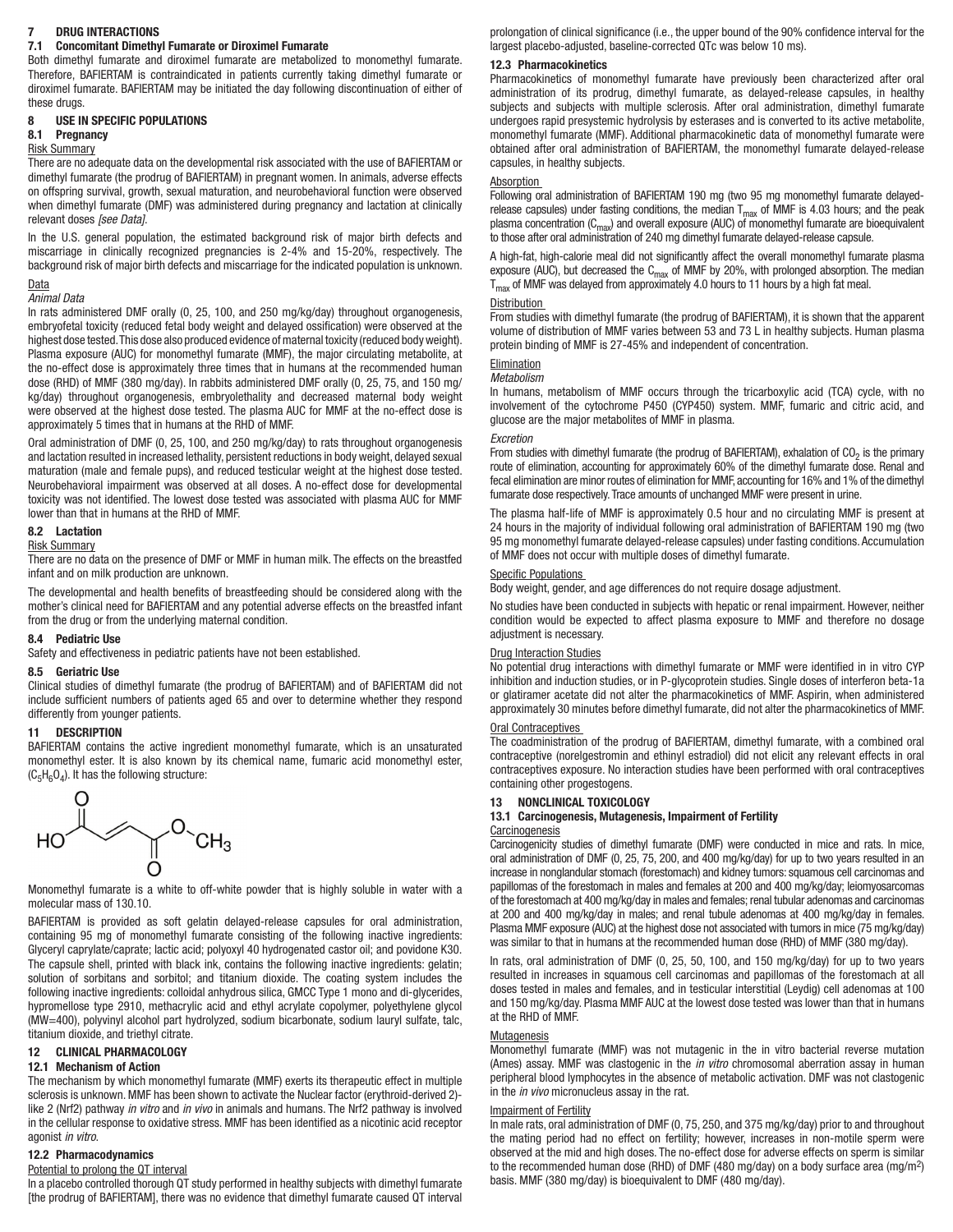## DRUG INTERACTIONS

### 7.1 Concomitant Dimethyl Fumarate or Diroximel Fumarate

Both dimethyl fumarate and diroximel fumarate are metabolized to monomethyl fumarate. Therefore, BAFIERTAM is contraindicated in patients currently taking dimethyl fumarate or diroximel fumarate. BAFIERTAM may be initiated the day following discontinuation of either of these drugs.

#### 8 USE IN SPECIFIC POPULATIONS

# 8.1 Pregnancy

#### Risk Summary

There are no adequate data on the developmental risk associated with the use of BAFIERTAM or dimethyl fumarate (the prodrug of BAFIERTAM) in pregnant women. In animals, adverse effects on offspring survival, growth, sexual maturation, and neurobehavioral function were observed when dimethyl fumarate (DMF) was administered during pregnancy and lactation at clinically relevant doses *[see Data]*.

In the U.S. general population, the estimated background risk of major birth defects and miscarriage in clinically recognized pregnancies is 2-4% and 15-20%, respectively. The background risk of major birth defects and miscarriage for the indicated population is unknown.

# Data

## *Animal Data*

In rats administered DMF orally (0, 25, 100, and 250 mg/kg/day) throughout organogenesis, embryofetal toxicity (reduced fetal body weight and delayed ossification) were observed at the highest dose tested. This dose also produced evidence of maternal toxicity (reduced body weight). Plasma exposure (AUC) for monomethyl fumarate (MMF), the major circulating metabolite, at the no-effect dose is approximately three times that in humans at the recommended human dose (RHD) of MMF (380 mg/day). In rabbits administered DMF orally (0, 25, 75, and 150 mg/ kg/day) throughout organogenesis, embryolethality and decreased maternal body weight were observed at the highest dose tested. The plasma AUC for MMF at the no-effect dose is approximately 5 times that in humans at the RHD of MMF.

Oral administration of DMF (0, 25, 100, and 250 mg/kg/day) to rats throughout organogenesis and lactation resulted in increased lethality, persistent reductions in body weight, delayed sexual maturation (male and female pups), and reduced testicular weight at the highest dose tested. Neurobehavioral impairment was observed at all doses. A no-effect dose for developmental toxicity was not identified. The lowest dose tested was associated with plasma AUC for MMF lower than that in humans at the RHD of MMF.

## 8.2 Lactation

## Risk Summary

There are no data on the presence of DMF or MMF in human milk. The effects on the breastfed infant and on milk production are unknown.

The developmental and health benefits of breastfeeding should be considered along with the mother's clinical need for BAFIERTAM and any potential adverse effects on the breastfed infant from the drug or from the underlying maternal condition.

#### 8.4 Pediatric Use

Safety and effectiveness in pediatric patients have not been established.

#### 8.5 Geriatric Use

Clinical studies of dimethyl fumarate (the prodrug of BAFIERTAM) and of BAFIERTAM did not include sufficient numbers of patients aged 65 and over to determine whether they respond differently from younger patients.

#### 11 DESCRIPTION

BAFIERTAM contains the active ingredient monomethyl fumarate, which is an unsaturated monomethyl ester. It is also known by its chemical name, fumaric acid monomethyl ester,  $(C_5H_6O_4)$ . It has the following structure:



Monomethyl fumarate is a white to off-white powder that is highly soluble in water with a molecular mass of 130.10.

BAFIERTAM is provided as soft gelatin delayed-release capsules for oral administration, containing 95 mg of monomethyl fumarate consisting of the following inactive ingredients: Glyceryl caprylate/caprate; lactic acid; polyoxyl 40 hydrogenated castor oil; and povidone K30. The capsule shell, printed with black ink, contains the following inactive ingredients: gelatin; solution of sorbitans and sorbitol; and titanium dioxide. The coating system includes the following inactive ingredients: colloidal anhydrous silica, GMCC Type 1 mono and di-glycerides, hypromellose type 2910, methacrylic acid and ethyl acrylate copolymer, polyethylene glycol (MW=400), polyvinyl alcohol part hydrolyzed, sodium bicarbonate, sodium lauryl sulfate, talc, titanium dioxide, and triethyl citrate.

## 12 CLINICAL PHARMACOLOGY

## 12.1 Mechanism of Action

The mechanism by which monomethyl fumarate (MMF) exerts its therapeutic effect in multiple sclerosis is unknown. MMF has been shown to activate the Nuclear factor (erythroid-derived 2) like 2 (Nrf2) pathway *in vitro* and *in vivo* in animals and humans. The Nrf2 pathway is involved in the cellular response to oxidative stress. MMF has been identified as a nicotinic acid receptor agonist *in vitro*.

#### 12.2 Pharmacodynamics

#### Potential to prolong the QT interval

In a placebo controlled thorough QT study performed in healthy subjects with dimethyl fumarate [the prodrug of BAFIERTAM], there was no evidence that dimethyl fumarate caused QT interval prolongation of clinical significance (i.e., the upper bound of the 90% confidence interval for the largest placebo-adjusted, baseline-corrected QTc was below 10 ms).

## 12.3 Pharmacokinetics

Pharmacokinetics of monomethyl fumarate have previously been characterized after oral administration of its prodrug, dimethyl fumarate, as delayed-release capsules, in healthy subjects and subjects with multiple sclerosis. After oral administration, dimethyl fumarate undergoes rapid presystemic hydrolysis by esterases and is converted to its active metabolite, monomethyl fumarate (MMF). Additional pharmacokinetic data of monomethyl fumarate were obtained after oral administration of BAFIERTAM, the monomethyl fumarate delayed-release capsules, in healthy subjects.

## **Absorption**

Following oral administration of BAFIERTAM 190 mg (two 95 mg monomethyl fumarate delayedrelease capsules) under fasting conditions, the median  $T_{\text{max}}$  of MMF is 4.03 hours; and the peak plasma concentration  $(C_{\text{max}})$  and overall exposure (AUC) of monomethyl fumarate are bioequivalent to those after oral administration of 240 mg dimethyl fumarate delayed-release capsule.

A high-fat, high-calorie meal did not significantly affect the overall monomethyl fumarate plasma exposure (AUC), but decreased the  $C_{\text{max}}$  of MMF by 20%, with prolonged absorption. The median  $T_{\text{max}}$  of MMF was delayed from approximately 4.0 hours to 11 hours by a high fat meal.

#### **Distribution**

From studies with dimethyl fumarate (the prodrug of BAFIERTAM), it is shown that the apparent volume of distribution of MMF varies between 53 and 73 L in healthy subjects. Human plasma protein binding of MMF is 27-45% and independent of concentration.

## **Elimination**

*Metabolism*

In humans, metabolism of MMF occurs through the tricarboxylic acid (TCA) cycle, with no involvement of the cytochrome P450 (CYP450) system. MMF, fumaric and citric acid, and glucose are the major metabolites of MMF in plasma.

#### *Excretion*

From studies with dimethyl fumarate (the prodrug of BAFIERTAM), exhalation of  $CO<sub>2</sub>$  is the primary route of elimination, accounting for approximately 60% of the dimethyl fumarate dose. Renal and fecal elimination are minor routes of elimination for MMF, accounting for 16% and 1% of the dimethyl fumarate dose respectively. Trace amounts of unchanged MMF were present in urine.

The plasma half-life of MMF is approximately 0.5 hour and no circulating MMF is present at 24 hours in the majority of individual following oral administration of BAFIERTAM 190 mg (two 95 mg monomethyl fumarate delayed-release capsules) under fasting conditions. Accumulation of MMF does not occur with multiple doses of dimethyl fumarate.

#### Specific Populations

Body weight, gender, and age differences do not require dosage adjustment.

No studies have been conducted in subjects with hepatic or renal impairment. However, neither condition would be expected to affect plasma exposure to MMF and therefore no dosage adjustment is necessary.

#### Drug Interaction Studies

No potential drug interactions with dimethyl fumarate or MMF were identified in in vitro CYP inhibition and induction studies, or in P-glycoprotein studies. Single doses of interferon beta-1a or glatiramer acetate did not alter the pharmacokinetics of MMF. Aspirin, when administered approximately 30 minutes before dimethyl fumarate, did not alter the pharmacokinetics of MMF.

## **Oral Contraceptives**

The coadministration of the prodrug of BAFIERTAM, dimethyl fumarate, with a combined oral contraceptive (norelgestromin and ethinyl estradiol) did not elicit any relevant effects in oral contraceptives exposure. No interaction studies have been performed with oral contraceptives containing other progestogens.

## 13 NONCLINICAL TOXICOLOGY

## 13.1 Carcinogenesis, Mutagenesis, Impairment of Fertility

#### Carcinogenesis

Carcinogenicity studies of dimethyl fumarate (DMF) were conducted in mice and rats. In mice, oral administration of DMF (0, 25, 75, 200, and 400 mg/kg/day) for up to two years resulted in an increase in nonglandular stomach (forestomach) and kidney tumors: squamous cell carcinomas and papillomas of the forestomach in males and females at 200 and 400 mg/kg/day; leiomyosarcomas of the forestomach at 400 mg/kg/day in males and females; renal tubular adenomas and carcinomas at 200 and 400 mg/kg/day in males; and renal tubule adenomas at 400 mg/kg/day in females. Plasma MMF exposure (AUC) at the highest dose not associated with tumors in mice (75 mg/kg/day) was similar to that in humans at the recommended human dose (RHD) of MMF (380 mg/day).

In rats, oral administration of DMF (0, 25, 50, 100, and 150 mg/kg/day) for up to two years resulted in increases in squamous cell carcinomas and papillomas of the forestomach at all doses tested in males and females, and in testicular interstitial (Leydig) cell adenomas at 100 and 150 mg/kg/day. Plasma MMF AUC at the lowest dose tested was lower than that in humans at the RHD of MMF.

#### Mutagenesis

Monomethyl fumarate (MMF) was not mutagenic in the in vitro bacterial reverse mutation (Ames) assay. MMF was clastogenic in the *in vitro* chromosomal aberration assay in human peripheral blood lymphocytes in the absence of metabolic activation. DMF was not clastogenic in the *in vivo* micronucleus assay in the rat.

#### Impairment of Fertility

In male rats, oral administration of DMF (0, 75, 250, and 375 mg/kg/day) prior to and throughout the mating period had no effect on fertility; however, increases in non-motile sperm were observed at the mid and high doses. The no-effect dose for adverse effects on sperm is similar to the recommended human dose (RHD) of DMF (480 mg/day) on a body surface area (mg/m2) basis. MMF (380 mg/day) is bioequivalent to DMF (480 mg/day).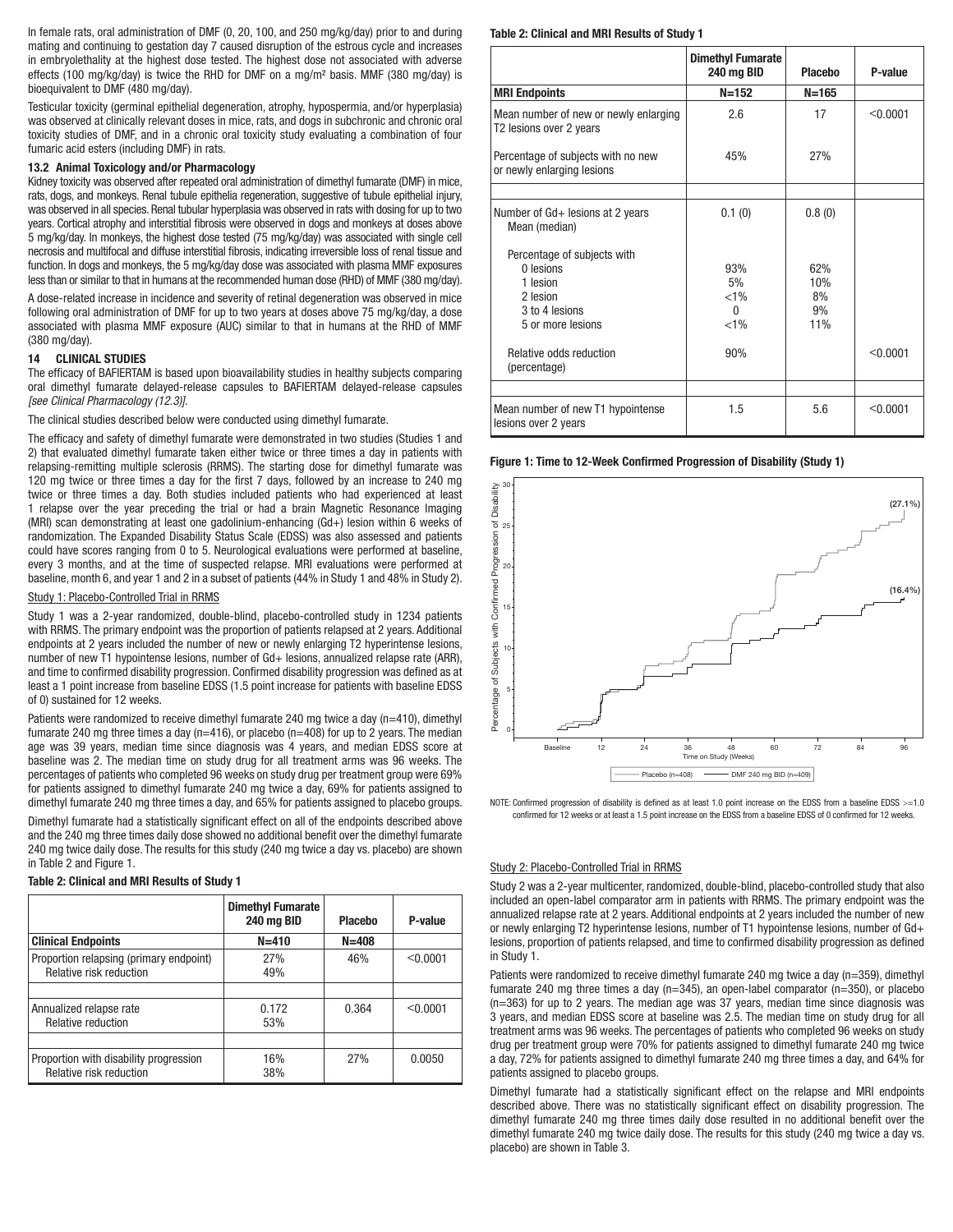In female rats, oral administration of DMF (0, 20, 100, and 250 mg/kg/day) prior to and during mating and continuing to gestation day 7 caused disruption of the estrous cycle and increases in embryolethality at the highest dose tested. The highest dose not associated with adverse effects (100 mg/kg/day) is twice the RHD for DMF on a mg/m2 basis. MMF (380 mg/day) is bioequivalent to DMF (480 mg/day).

Testicular toxicity (germinal epithelial degeneration, atrophy, hypospermia, and/or hyperplasia) was observed at clinically relevant doses in mice, rats, and dogs in subchronic and chronic oral toxicity studies of DMF, and in a chronic oral toxicity study evaluating a combination of four fumaric acid esters (including DMF) in rats.

#### 13.2 Animal Toxicology and/or Pharmacology

Kidney toxicity was observed after repeated oral administration of dimethyl fumarate (DMF) in mice, rats, dogs, and monkeys. Renal tubule epithelia regeneration, suggestive of tubule epithelial injury, was observed in all species. Renal tubular hyperplasia was observed in rats with dosing for up to two years. Cortical atrophy and interstitial fibrosis were observed in dogs and monkeys at doses above 5 mg/kg/day. In monkeys, the highest dose tested (75 mg/kg/day) was associated with single cell necrosis and multifocal and diffuse interstitial fibrosis, indicating irreversible loss of renal tissue and function. In dogs and monkeys, the 5 mg/kg/day dose was associated with plasma MMF exposures less than or similar to that in humans at the recommended human dose (RHD) of MMF (380 mg/day).

A dose-related increase in incidence and severity of retinal degeneration was observed in mice following oral administration of DMF for up to two years at doses above 75 mg/kg/day, a dose associated with plasma MMF exposure (AUC) similar to that in humans at the RHD of MMF (380 mg/day).

## 14 CLINICAL STUDIES

The efficacy of BAFIERTAM is based upon bioavailability studies in healthy subjects comparing oral dimethyl fumarate delayed-release capsules to BAFIERTAM delayed-release capsules *[see Clinical Pharmacology (12.3)]*.

The clinical studies described below were conducted using dimethyl fumarate.

The efficacy and safety of dimethyl fumarate were demonstrated in two studies (Studies 1 and 2) that evaluated dimethyl fumarate taken either twice or three times a day in patients with relapsing-remitting multiple sclerosis (RRMS). The starting dose for dimethyl fumarate was 120 mg twice or three times a day for the first 7 days, followed by an increase to 240 mg twice or three times a day. Both studies included patients who had experienced at least 1 relapse over the year preceding the trial or had a brain Magnetic Resonance Imaging (MRI) scan demonstrating at least one gadolinium-enhancing (Gd+) lesion within 6 weeks of randomization. The Expanded Disability Status Scale (EDSS) was also assessed and patients could have scores ranging from 0 to 5. Neurological evaluations were performed at baseline, every 3 months, and at the time of suspected relapse. MRI evaluations were performed at baseline, month 6, and year 1 and 2 in a subset of patients (44% in Study 1 and 48% in Study 2).

#### Study 1: Placebo-Controlled Trial in RRMS

Study 1 was a 2-year randomized, double-blind, placebo-controlled study in 1234 patients with RRMS. The primary endpoint was the proportion of patients relapsed at 2 years. Additional endpoints at 2 years included the number of new or newly enlarging T2 hyperintense lesions, number of new T1 hypointense lesions, number of Gd+ lesions, annualized relapse rate (ARR), and time to confirmed disability progression. Confirmed disability progression was defined as at least a 1 point increase from baseline EDSS (1.5 point increase for patients with baseline EDSS of 0) sustained for 12 weeks.

Patients were randomized to receive dimethyl fumarate 240 mg twice a day (n=410), dimethyl fumarate 240 mg three times a day ( $n=416$ ), or placebo ( $n=408$ ) for up to 2 years. The median age was 39 years, median time since diagnosis was 4 years, and median EDSS score at baseline was 2. The median time on study drug for all treatment arms was 96 weeks. The percentages of patients who completed 96 weeks on study drug per treatment group were 69% for patients assigned to dimethyl fumarate 240 mg twice a day, 69% for patients assigned to dimethyl fumarate 240 mg three times a day, and 65% for patients assigned to placebo groups.

Dimethyl fumarate had a statistically significant effect on all of the endpoints described above and the 240 mg three times daily dose showed no additional benefit over the dimethyl fumarate 240 mg twice daily dose. The results for this study (240 mg twice a day vs. placebo) are shown in Table 2 and Figure 1.

#### Table 2: Clinical and MRI Results of Study 1

|                                                                    | <b>Dimethyl Fumarate</b><br>240 mg BID | <b>Placebo</b> | P-value  |
|--------------------------------------------------------------------|----------------------------------------|----------------|----------|
| <b>Clinical Endpoints</b>                                          | $N = 410$                              | $N = 408$      |          |
| Proportion relapsing (primary endpoint)<br>Relative risk reduction | 27%<br>49%                             | 46%            | < 0.0001 |
|                                                                    |                                        |                |          |
| Annualized relapse rate<br>Relative reduction                      | 0.172<br>53%                           | 0.364          | < 0.0001 |
|                                                                    |                                        |                |          |
| Proportion with disability progression<br>Relative risk reduction  | 16%<br>38%                             | 27%            | 0.0050   |

## Table 2: Clinical and MRI Results of Study 1

|                                                                                                                                                    | <b>Dimethyl Fumarate</b><br><b>240 mg BID</b> | <b>Placebo</b>                | P-value  |
|----------------------------------------------------------------------------------------------------------------------------------------------------|-----------------------------------------------|-------------------------------|----------|
| <b>MRI Endpoints</b>                                                                                                                               | $N = 152$                                     | $N = 165$                     |          |
| Mean number of new or newly enlarging<br>T2 lesions over 2 years                                                                                   | 2.6                                           | 17                            | < 0.0001 |
| Percentage of subjects with no new<br>or newly enlarging lesions                                                                                   | 45%                                           | 27%                           |          |
|                                                                                                                                                    |                                               |                               |          |
| Number of Gd+ lesions at 2 years<br>Mean (median)                                                                                                  | 0.1(0)                                        | 0.8(0)                        |          |
| Percentage of subjects with<br>0 lesions<br>1 lesion<br>2 lesion<br>3 to 4 lesions<br>5 or more lesions<br>Relative odds reduction<br>(percentage) | 93%<br>5%<br>$< 1\%$<br>0<br>$< 1\%$<br>90%   | 62%<br>10%<br>8%<br>9%<br>11% | < 0.0001 |
|                                                                                                                                                    |                                               |                               |          |
| Mean number of new T1 hypointense<br>lesions over 2 years                                                                                          | 1.5                                           | 5.6                           | < 0.0001 |

## Figure 1: Time to 12-Week Confirmed Progression of Disability (Study 1)



NOTE: Confirmed progression of disability is defined as at least 1.0 point increase on the EDSS from a baseline EDSS >=1.0 confirmed for 12 weeks or at least a 1.5 point increase on the EDSS from a baseline EDSS of 0 confirmed for 12 weeks.

#### Study 2: Placebo-Controlled Trial in RRMS

Study 2 was a 2-year multicenter, randomized, double-blind, placebo-controlled study that also included an open-label comparator arm in patients with RRMS. The primary endpoint was the annualized relapse rate at 2 years. Additional endpoints at 2 years included the number of new or newly enlarging T2 hyperintense lesions, number of T1 hypointense lesions, number of Gd+ lesions, proportion of patients relapsed, and time to confirmed disability progression as defined in Study 1.

Patients were randomized to receive dimethyl fumarate 240 mg twice a day (n=359), dimethyl fumarate 240 mg three times a day (n=345), an open-label comparator (n=350), or placebo (n=363) for up to 2 years. The median age was 37 years, median time since diagnosis was 3 years, and median EDSS score at baseline was 2.5. The median time on study drug for all treatment arms was 96 weeks. The percentages of patients who completed 96 weeks on study drug per treatment group were 70% for patients assigned to dimethyl fumarate 240 mg twice a day, 72% for patients assigned to dimethyl fumarate 240 mg three times a day, and 64% for patients assigned to placebo groups.

Dimethyl fumarate had a statistically significant effect on the relapse and MRI endpoints described above. There was no statistically significant effect on disability progression. The dimethyl fumarate 240 mg three times daily dose resulted in no additional benefit over the dimethyl fumarate 240 mg twice daily dose. The results for this study (240 mg twice a day vs.